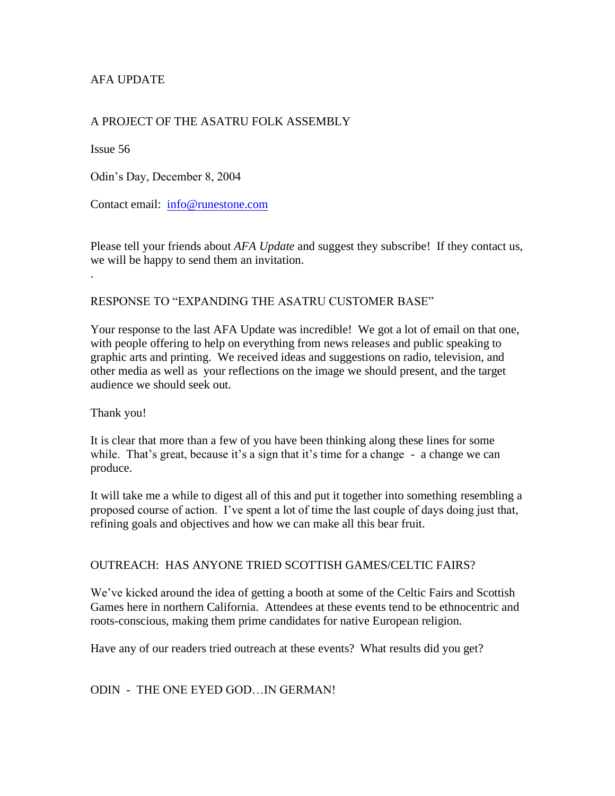## AFA UPDATE

## A PROJECT OF THE ASATRU FOLK ASSEMBLY

Issue 56

.

Odin's Day, December 8, 2004

Contact email: [info@runestone.com](mailto:info@runestone.com)

Please tell your friends about *AFA Update* and suggest they subscribe! If they contact us, we will be happy to send them an invitation.

### RESPONSE TO "EXPANDING THE ASATRU CUSTOMER BASE"

Your response to the last AFA Update was incredible! We got a lot of email on that one, with people offering to help on everything from news releases and public speaking to graphic arts and printing. We received ideas and suggestions on radio, television, and other media as well as your reflections on the image we should present, and the target audience we should seek out.

#### Thank you!

It is clear that more than a few of you have been thinking along these lines for some while. That's great, because it's a sign that it's time for a change - a change we can produce.

It will take me a while to digest all of this and put it together into something resembling a proposed course of action. I've spent a lot of time the last couple of days doing just that, refining goals and objectives and how we can make all this bear fruit.

### OUTREACH: HAS ANYONE TRIED SCOTTISH GAMES/CELTIC FAIRS?

We've kicked around the idea of getting a booth at some of the Celtic Fairs and Scottish Games here in northern California. Attendees at these events tend to be ethnocentric and roots-conscious, making them prime candidates for native European religion.

Have any of our readers tried outreach at these events? What results did you get?

### ODIN - THE ONE EYED GOD…IN GERMAN!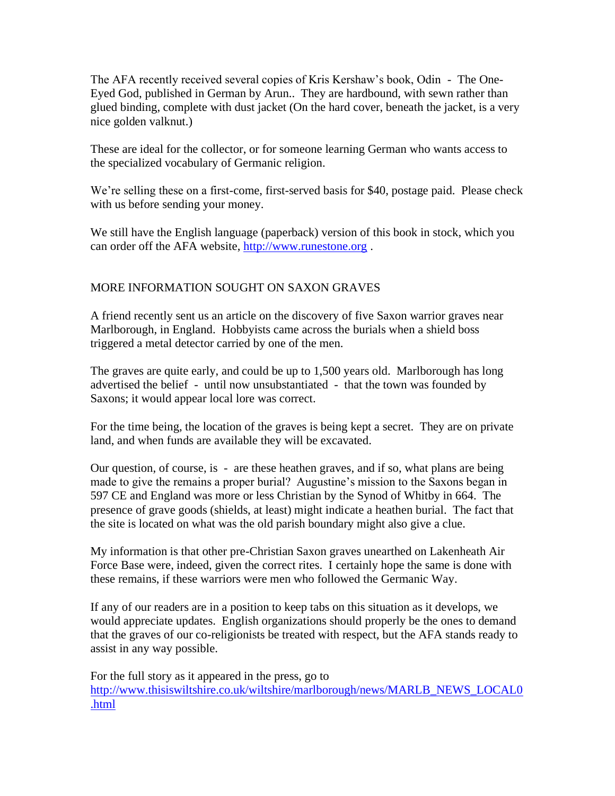The AFA recently received several copies of Kris Kershaw's book, Odin - The One-Eyed God, published in German by Arun.. They are hardbound, with sewn rather than glued binding, complete with dust jacket (On the hard cover, beneath the jacket, is a very nice golden valknut.)

These are ideal for the collector, or for someone learning German who wants access to the specialized vocabulary of Germanic religion.

We're selling these on a first-come, first-served basis for \$40, postage paid. Please check with us before sending your money.

We still have the English language (paperback) version of this book in stock, which you can order off the AFA website, [http://www.runestone.org](http://www.runestone.org/) .

# MORE INFORMATION SOUGHT ON SAXON GRAVES

A friend recently sent us an article on the discovery of five Saxon warrior graves near Marlborough, in England. Hobbyists came across the burials when a shield boss triggered a metal detector carried by one of the men.

The graves are quite early, and could be up to 1,500 years old. Marlborough has long advertised the belief - until now unsubstantiated - that the town was founded by Saxons; it would appear local lore was correct.

For the time being, the location of the graves is being kept a secret. They are on private land, and when funds are available they will be excavated.

Our question, of course, is - are these heathen graves, and if so, what plans are being made to give the remains a proper burial? Augustine's mission to the Saxons began in 597 CE and England was more or less Christian by the Synod of Whitby in 664. The presence of grave goods (shields, at least) might indicate a heathen burial. The fact that the site is located on what was the old parish boundary might also give a clue.

My information is that other pre-Christian Saxon graves unearthed on Lakenheath Air Force Base were, indeed, given the correct rites. I certainly hope the same is done with these remains, if these warriors were men who followed the Germanic Way.

If any of our readers are in a position to keep tabs on this situation as it develops, we would appreciate updates. English organizations should properly be the ones to demand that the graves of our co-religionists be treated with respect, but the AFA stands ready to assist in any way possible.

For the full story as it appeared in the press, go to [http://www.thisiswiltshire.co.uk/wiltshire/marlborough/news/MARLB\\_NEWS\\_LOCAL0](http://www.thisiswiltshire.co.uk/wiltshire/marlborough/news/MARLB_NEWS_LOCAL0.html) [.html](http://www.thisiswiltshire.co.uk/wiltshire/marlborough/news/MARLB_NEWS_LOCAL0.html)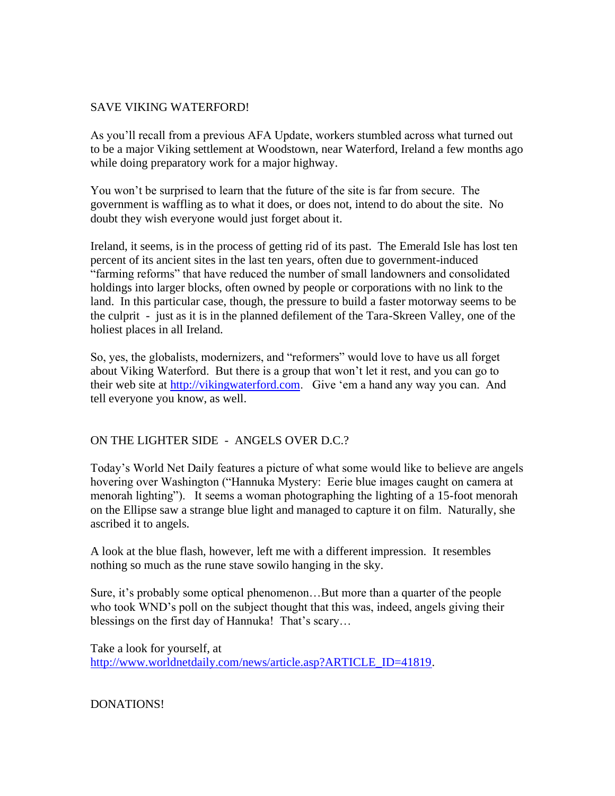### SAVE VIKING WATERFORD!

As you'll recall from a previous AFA Update, workers stumbled across what turned out to be a major Viking settlement at Woodstown, near Waterford, Ireland a few months ago while doing preparatory work for a major highway.

You won't be surprised to learn that the future of the site is far from secure. The government is waffling as to what it does, or does not, intend to do about the site. No doubt they wish everyone would just forget about it.

Ireland, it seems, is in the process of getting rid of its past. The Emerald Isle has lost ten percent of its ancient sites in the last ten years, often due to government-induced "farming reforms" that have reduced the number of small landowners and consolidated holdings into larger blocks, often owned by people or corporations with no link to the land. In this particular case, though, the pressure to build a faster motorway seems to be the culprit - just as it is in the planned defilement of the Tara-Skreen Valley, one of the holiest places in all Ireland.

So, yes, the globalists, modernizers, and "reformers" would love to have us all forget about Viking Waterford. But there is a group that won't let it rest, and you can go to their web site at [http://vikingwaterford.com.](http://vikingwaterford.com/) Give 'em a hand any way you can. And tell everyone you know, as well.

## ON THE LIGHTER SIDE - ANGELS OVER D.C.?

Today's World Net Daily features a picture of what some would like to believe are angels hovering over Washington ("Hannuka Mystery: Eerie blue images caught on camera at menorah lighting"). It seems a woman photographing the lighting of a 15-foot menorah on the Ellipse saw a strange blue light and managed to capture it on film. Naturally, she ascribed it to angels.

A look at the blue flash, however, left me with a different impression. It resembles nothing so much as the rune stave sowilo hanging in the sky.

Sure, it's probably some optical phenomenon…But more than a quarter of the people who took WND's poll on the subject thought that this was, indeed, angels giving their blessings on the first day of Hannuka! That's scary...

Take a look for yourself, at [http://www.worldnetdaily.com/news/article.asp?ARTICLE\\_ID=41819.](http://www.worldnetdaily.com/news/article.asp?ARTICLE_ID=41819)

DONATIONS!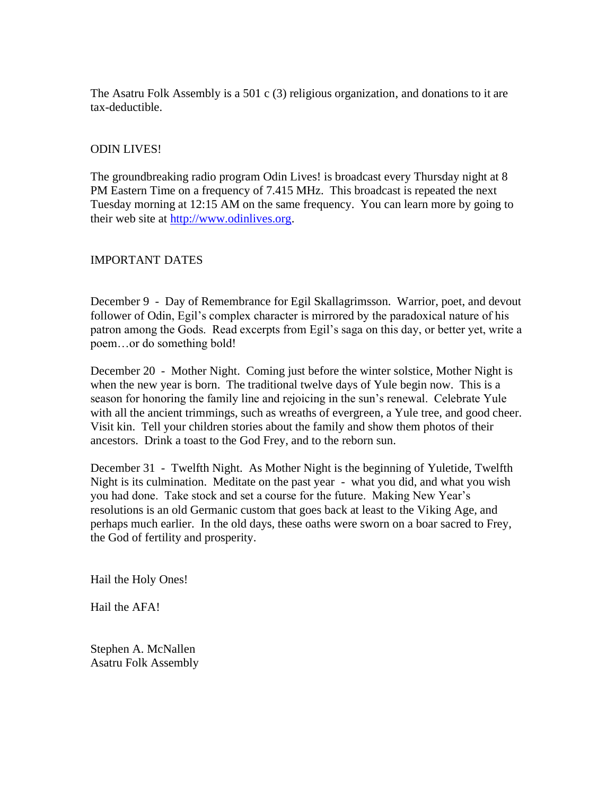The Asatru Folk Assembly is a 501 c (3) religious organization, and donations to it are tax-deductible.

## ODIN LIVES!

The groundbreaking radio program Odin Lives! is broadcast every Thursday night at 8 PM Eastern Time on a frequency of 7.415 MHz. This broadcast is repeated the next Tuesday morning at 12:15 AM on the same frequency. You can learn more by going to their web site at [http://www.odinlives.org.](http://www.odinlives.org/)

### IMPORTANT DATES

December 9 - Day of Remembrance for Egil Skallagrimsson. Warrior, poet, and devout follower of Odin, Egil's complex character is mirrored by the paradoxical nature of his patron among the Gods. Read excerpts from Egil's saga on this day, or better yet, write a poem…or do something bold!

December 20 - Mother Night. Coming just before the winter solstice, Mother Night is when the new year is born. The traditional twelve days of Yule begin now. This is a season for honoring the family line and rejoicing in the sun's renewal. Celebrate Yule with all the ancient trimmings, such as wreaths of evergreen, a Yule tree, and good cheer. Visit kin. Tell your children stories about the family and show them photos of their ancestors. Drink a toast to the God Frey, and to the reborn sun.

December 31 - Twelfth Night. As Mother Night is the beginning of Yuletide, Twelfth Night is its culmination. Meditate on the past year - what you did, and what you wish you had done. Take stock and set a course for the future. Making New Year's resolutions is an old Germanic custom that goes back at least to the Viking Age, and perhaps much earlier. In the old days, these oaths were sworn on a boar sacred to Frey, the God of fertility and prosperity.

Hail the Holy Ones!

Hail the AFA!

Stephen A. McNallen Asatru Folk Assembly